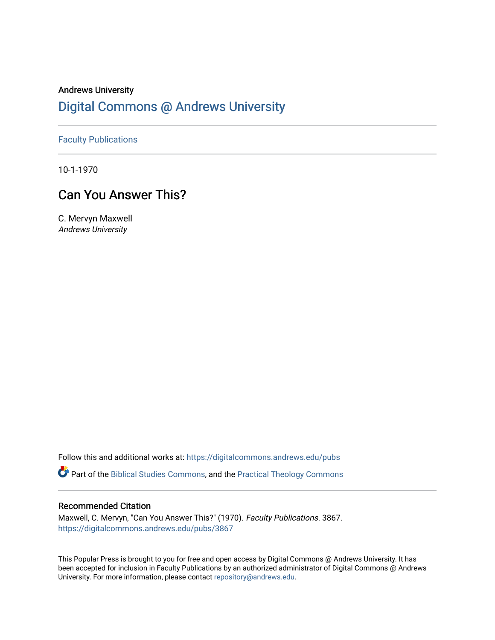# Andrews University [Digital Commons @ Andrews University](https://digitalcommons.andrews.edu/)

[Faculty Publications](https://digitalcommons.andrews.edu/pubs)

10-1-1970

# Can You Answer This?

C. Mervyn Maxwell Andrews University

Follow this and additional works at: [https://digitalcommons.andrews.edu/pubs](https://digitalcommons.andrews.edu/pubs?utm_source=digitalcommons.andrews.edu%2Fpubs%2F3867&utm_medium=PDF&utm_campaign=PDFCoverPages) 

Part of the [Biblical Studies Commons,](http://network.bepress.com/hgg/discipline/539?utm_source=digitalcommons.andrews.edu%2Fpubs%2F3867&utm_medium=PDF&utm_campaign=PDFCoverPages) and the [Practical Theology Commons](http://network.bepress.com/hgg/discipline/1186?utm_source=digitalcommons.andrews.edu%2Fpubs%2F3867&utm_medium=PDF&utm_campaign=PDFCoverPages) 

## Recommended Citation

Maxwell, C. Mervyn, "Can You Answer This?" (1970). Faculty Publications. 3867. [https://digitalcommons.andrews.edu/pubs/3867](https://digitalcommons.andrews.edu/pubs/3867?utm_source=digitalcommons.andrews.edu%2Fpubs%2F3867&utm_medium=PDF&utm_campaign=PDFCoverPages) 

This Popular Press is brought to you for free and open access by Digital Commons @ Andrews University. It has been accepted for inclusion in Faculty Publications by an authorized administrator of Digital Commons @ Andrews University. For more information, please contact [repository@andrews.edu](mailto:repository@andrews.edu).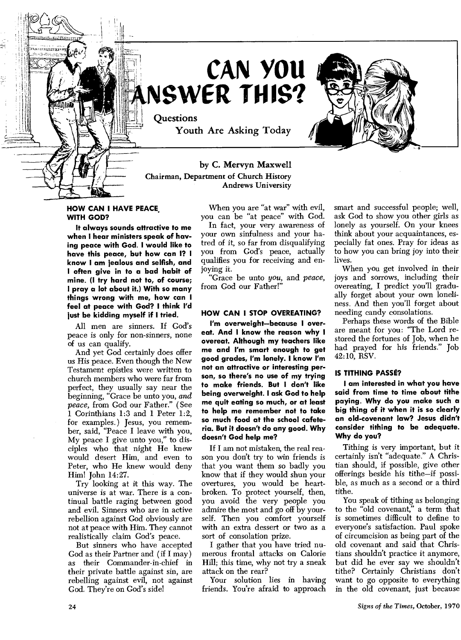

# **CAN YOU NSWER THIS?**

**Questions Youth Are Asking Today** 

## **by C. Mervyn Maxwell Chairman, Department of Church History Andrews University**

#### **HOW CAN I HAVE PEACE, WITH GOD?**

**It always sounds attractive to me when I hear ministers speak of having peace with God. I would like to have this peace, but how can I? I know I am jealous and selfish, and I often give in to a bad habit of mine. (I try hard not to, of course; I pray a lot about it.) With so many things wrong with me, how can I feel at peace with God? I think I'd just be kidding myself if I tried.** 

All men are sinners. If God's peace is only for non-sinners, none of us can qualify.

And yet God certainly does offer us His peace. Even though the New Testament epistles were written to church members who were far from perfect, they usually say near the beginning, "Grace be unto you, *and peace,* from God our Father." ( See 1 Corinthians 1:3 and 1 Peter 1:2, for examples.) Jesus, you remember, said, "Peace I leave with you, My peace I give unto you," to disciples who that night He knew would desert Him, and even to Peter, who He knew would deny Him! John 14:27.

Try looking at it this way. The universe is at war. There is a continual battle raging between good and evil. Sinners who are in active rebellion against God obviously are not at peace with Him. They cannot realistically claim God's peace.

But sinners who have accepted God as their Partner and ( if I may ) as their Commander-in-chief in their private battle against sin, are rebelling against evil, not against God. They're on God's side!

When you are "at war" with evil, you can be "at peace" with God.

In fact, your very awareness of your own sinfulness and your hatred of it, so far from disqualifying you from God's peace, actually qualifies you for receiving and enjoying it.

"Grace be unto *you,* and *peace,*  from God our Father!"

### **HOW CAN I STOP OVEREATING?**

**I'm overweight—because I overeat. And I know the reason why I overeat. Although my teachers like me and I'm smart enough to get good grades, I'm lonely. I know I'm not an attractive or interesting person, so there's no use of my trying to make friends. But I don't like being overweight. I ask God to help me quit eating so much, or at least to help me remember not to take so much food at the school cafeteria. But it doesn't do any good. Why doesn't God help me?** 

If I am not mistaken, the real reason you don't try to win friends is that you want them so badly you know that if they would shun your overtures, you would be heartbroken. To protect yourself, then, you avoid the very people you admire the most and go off by yourself. Then you comfort yourself with an extra dessert or two as a sort of consolation prize.

I gather that you have tried numerous frontal attacks on Calorie Hill; this time, why not try a sneak attack on the rear?

Your solution lies in having friends. You're afraid to approach smart and successful people; well, ask God to show you other girls as lonely as yourself. On your knees think about your acquaintances, especially fat ones. Pray for ideas as to how you can bring joy into their lives.

When you get involved in their joys and sorrows, including their overeating, I predict you'll gradually forget about your own loneliness. And then you'll forget about needing candy consolations.

Perhaps these words of the Bible are meant for you: "The Lord restored the fortunes of Job, when he had prayed for his friends." Job 42:10, RSV.

#### **IS TITHING PASSE?**

**I am interested in what you have said from time to time about tithe paying. Why do you make such a big thing of it when it is so clearly an old-covenant law? Jesus didn't consider tithing to be adequate. Why do you?** 

Tithing is very important, but it certainly isn't "adequate." A Christian should, if possible, give other offerings beside his tithe—if possible, as much as a second or a third tithe.

You speak of tithing as belonging to the "old covenant," a term that is sometimes difficult to define to everyone's satisfaction. Paul spoke of circumcision as being part of the old covenant and said that Christians shouldn't practice it anymore, but did he ever say we shouldn't tithe? Certainly Christians don't want to go opposite to everything in the old covenant, just because